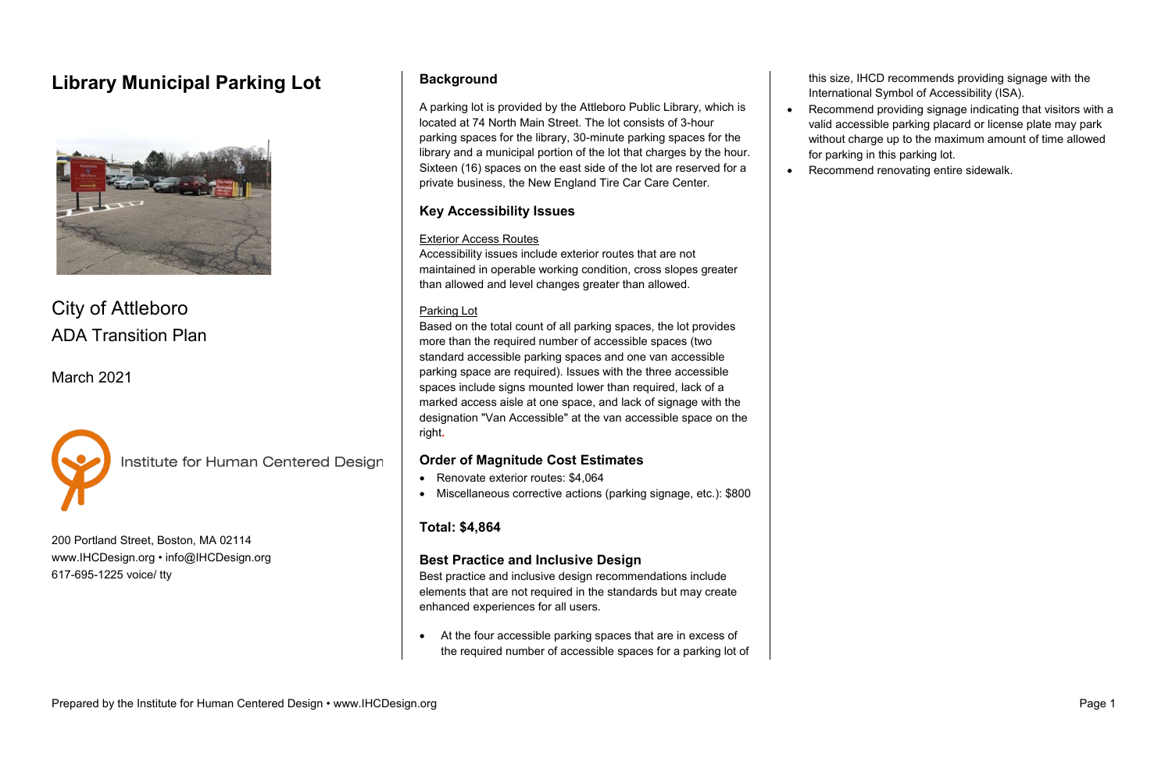# **Library Municipal Parking Lot**



City of Attleboro ADA Transition Plan

March 2021



Institute for Human Centered Design

200 Portland Street, Boston, MA 02114 [www.IHCDesign.org](http://www.ihcdesign.org/) • [info@IHCDesign.org](mailto:info@IHCDesign.org) 617-695-1225 voice/ tty

## **Background**

A parking lot is provided by the Attleboro Public Library, which is located at 74 North Main Street. The lot consists of 3-hour parking spaces for the library, 30-minute parking spaces for the library and a municipal portion of the lot that charges by the hour. Sixteen (16) spaces on the east side of the lot are reserved for a private business, the New England Tire Car Care Center.

### **Key Accessibility Issues**

#### Exterior Access Routes

- Renovate exterior routes: \$4,064
- Miscellaneous corrective actions (parking signage, etc.): \$800

Accessibility issues include exterior routes that are not maintained in operable working condition, cross slopes greater than allowed and level changes greater than allowed.

#### Parking Lot

Based on the total count of all parking spaces, the lot provides more than the required number of accessible spaces (two standard accessible parking spaces and one van accessible parking space are required). Issues with the three accessible spaces include signs mounted lower than required, lack of a marked access aisle at one space, and lack of signage with the designation "Van Accessible" at the van accessible space on the right**.** 

### **Order of Magnitude Cost Estimates**

### **Total: \$4,864**

### **Best Practice and Inclusive Design**

Best practice and inclusive design recommendations include elements that are not required in the standards but may create enhanced experiences for all users.

• At the four accessible parking spaces that are in excess of the required number of accessible spaces for a parking lot of this size, IHCD recommends providing signage with the International Symbol of Accessibility (ISA).

- 
- 

• Recommend providing signage indicating that visitors with a valid accessible parking placard or license plate may park without charge up to the maximum amount of time allowed for parking in this parking lot.

• Recommend renovating entire sidewalk.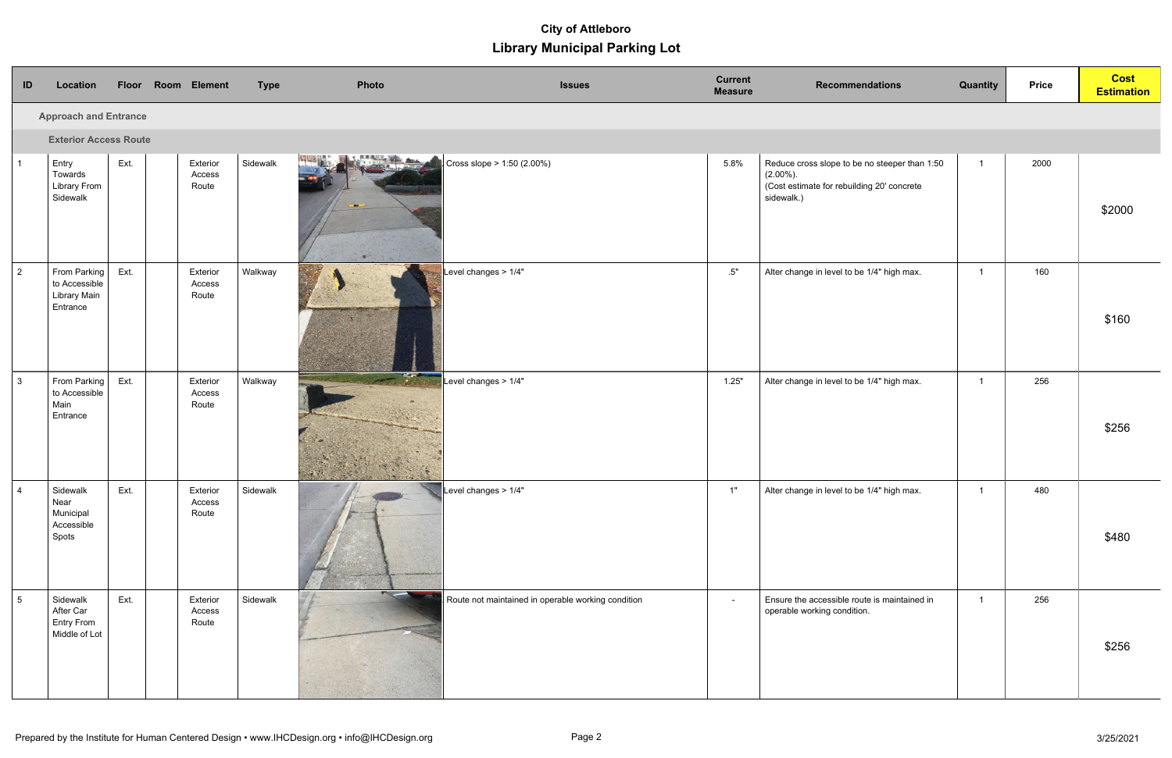# **Library Municipal Parking Lot City of Attleboro**

| ID                           | Location                                                         |      |  | Floor Room Element          | <b>Type</b> | Photo                                                                             | <b>Current</b><br><b>Issues</b><br><b>Measure</b> | <b>Recommendations</b>                                                                                                    | <b>Quantity</b> | <b>Price</b> | <b>Cost</b><br><b>Estimation</b> |
|------------------------------|------------------------------------------------------------------|------|--|-----------------------------|-------------|-----------------------------------------------------------------------------------|---------------------------------------------------|---------------------------------------------------------------------------------------------------------------------------|-----------------|--------------|----------------------------------|
| <b>Approach and Entrance</b> |                                                                  |      |  |                             |             |                                                                                   |                                                   |                                                                                                                           |                 |              |                                  |
|                              | <b>Exterior Access Route</b>                                     |      |  |                             |             |                                                                                   |                                                   |                                                                                                                           |                 |              |                                  |
| $\overline{1}$               | Entry<br>Towards<br><b>Library From</b><br>Sidewalk              | Ext. |  | Exterior<br>Access<br>Route | Sidewalk    | Cross slope > 1:50 (2.00%)                                                        | 5.8%                                              | Reduce cross slope to be no steeper than 1:50<br>$(2.00\%)$ .<br>(Cost estimate for rebuilding 20' concrete<br>sidewalk.) | $\mathbf{1}$    | 2000         | \$2000                           |
| $\overline{2}$               | From Parking<br>to Accessible<br><b>Library Main</b><br>Entrance | Ext. |  | Exterior<br>Access<br>Route | Walkway     | Level changes > 1/4"                                                              | .5"                                               | Alter change in level to be 1/4" high max.                                                                                | $\overline{1}$  | 160          | \$160                            |
| $\mathbf{3}$                 | From Parking<br>to Accessible<br>Main<br>Entrance                | Ext. |  | Exterior<br>Access<br>Route | Walkway     | Level changes $> 1/4"$                                                            | 1.25"                                             | Alter change in level to be 1/4" high max.                                                                                | $\overline{1}$  | 256          | \$256                            |
| $\overline{4}$               | Sidewalk<br>Near<br>Municipal<br>Accessible<br>Spots             | Ext. |  | Exterior<br>Access<br>Route | Sidewalk    | Level changes $>1/4"$                                                             | 1"                                                | Alter change in level to be 1/4" high max.                                                                                | 1               | 480          | \$480                            |
| $5\overline{)}$              | Sidewalk<br>After Car<br><b>Entry From</b><br>Middle of Lot      | Ext. |  | Exterior<br>Access<br>Route | Sidewalk    | <b>The Committee</b><br>$\mid$ Route not maintained in operable working condition | $\blacksquare$                                    | Ensure the accessible route is maintained in<br>operable working condition.                                               | $\overline{1}$  | 256          | \$256                            |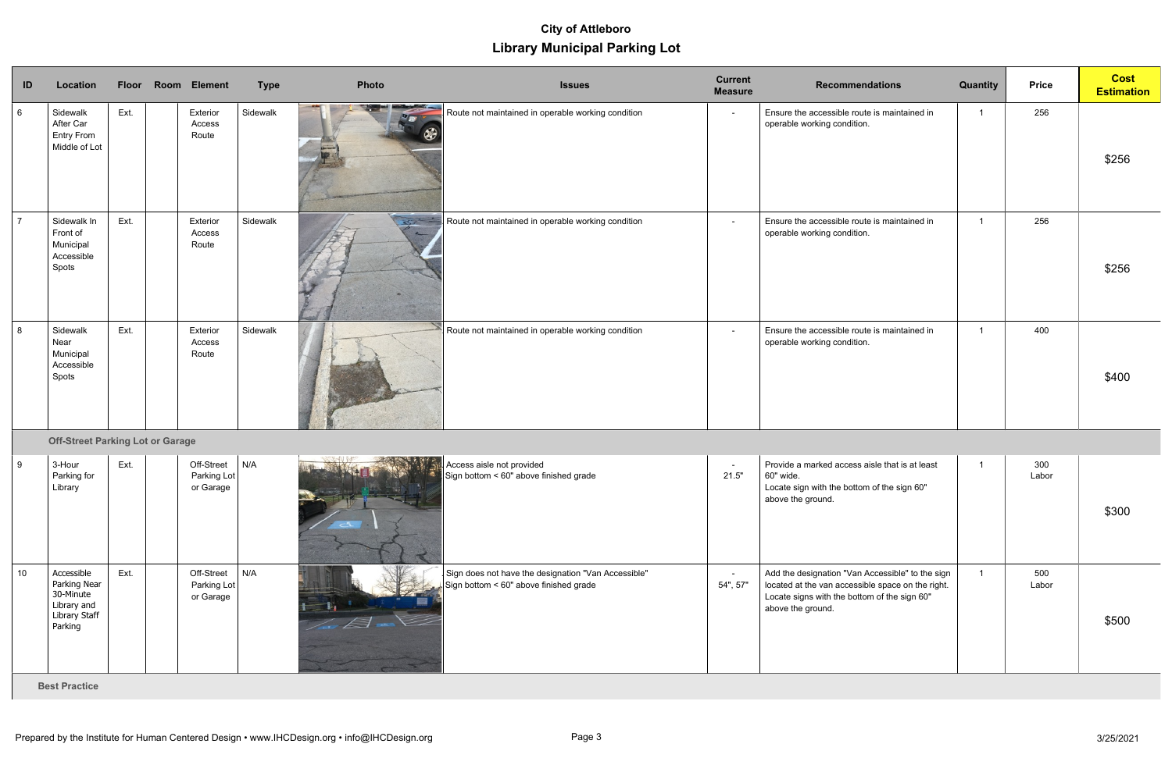# **Library Municipal Parking Lot City of Attleboro**

| ID             | Location                                                                           | <b>Floor</b> | <b>Room Element</b>                    | <b>Type</b> | Photo                                                                                                                                                                                                                                | <b>Issues</b>                                                                                 | <b>Current</b><br><b>Measure</b> | <b>Recommendations</b>                                                                                                                                                     | Quantity | <b>Price</b> | <b>Cost</b><br><b>Estimation</b> |
|----------------|------------------------------------------------------------------------------------|--------------|----------------------------------------|-------------|--------------------------------------------------------------------------------------------------------------------------------------------------------------------------------------------------------------------------------------|-----------------------------------------------------------------------------------------------|----------------------------------|----------------------------------------------------------------------------------------------------------------------------------------------------------------------------|----------|--------------|----------------------------------|
| 6              | Sidewalk<br>After Car<br><b>Entry From</b><br>Middle of Lot                        | Ext.         | Exterior<br>Access<br>Route            | Sidewalk    | <u> De Marie Constantinople de la proprie</u><br>$\mathbb{Z}_{\mathbf{Z}^{\prime}}$<br>⊛                                                                                                                                             | Route not maintained in operable working condition                                            | $\blacksquare$                   | Ensure the accessible route is maintained in<br>operable working condition.                                                                                                |          | 256          | \$256                            |
| $\overline{7}$ | Sidewalk In<br>Front of<br>Municipal<br>Accessible<br>Spots                        | Ext.         | Exterior<br>Access<br>Route            | Sidewalk    | $\overline{\mathbb{S}^2}$<br>$\overline{z}$                                                                                                                                                                                          | Route not maintained in operable working condition                                            | $\sim$                           | Ensure the accessible route is maintained in<br>operable working condition.                                                                                                |          | 256          | \$256                            |
| 8              | Sidewalk<br>Near<br>Municipal<br>Accessible<br>Spots                               | Ext.         | Exterior<br>Access<br>Route            | Sidewalk    |                                                                                                                                                                                                                                      | Route not maintained in operable working condition                                            | $\sim$                           | Ensure the accessible route is maintained in<br>operable working condition.                                                                                                |          | 400          | \$400                            |
|                | <b>Off-Street Parking Lot or Garage</b>                                            |              |                                        |             |                                                                                                                                                                                                                                      |                                                                                               |                                  |                                                                                                                                                                            |          |              |                                  |
| l 9            | 3-Hour<br>Parking for<br>Library                                                   | Ext.         | Off-Street<br>Parking Lot<br>or Garage | N/A         | <b>All Contract of the Contract of the Contract of the Contract of the Contract of the Contract of the Contract of the Contract of the Contract of the Contract of the Contract of the Contract of the Contract of the Contract </b> | Access aisle not provided<br>Sign bottom < 60" above finished grade                           | $\sim$<br>21.5"                  | Provide a marked access aisle that is at least<br>60" wide.<br>Locate sign with the bottom of the sign 60"<br>above the ground.                                            |          | 300<br>Labor | \$300                            |
| 10             | Accessible<br>Parking Near<br>30-Minute<br>Library and<br>Library Staff<br>Parking | Ext.         | Off-Street<br>Parking Lot<br>or Garage | N/A         |                                                                                                                                                                                                                                      | Sign does not have the designation "Van Accessible"<br>Sign bottom < 60" above finished grade | 54", 57"                         | Add the designation "Van Accessible" to the sign<br>located at the van accessible space on the right.<br>Locate signs with the bottom of the sign 60"<br>above the ground. |          | 500<br>Labor | \$500                            |

**Best Practice**